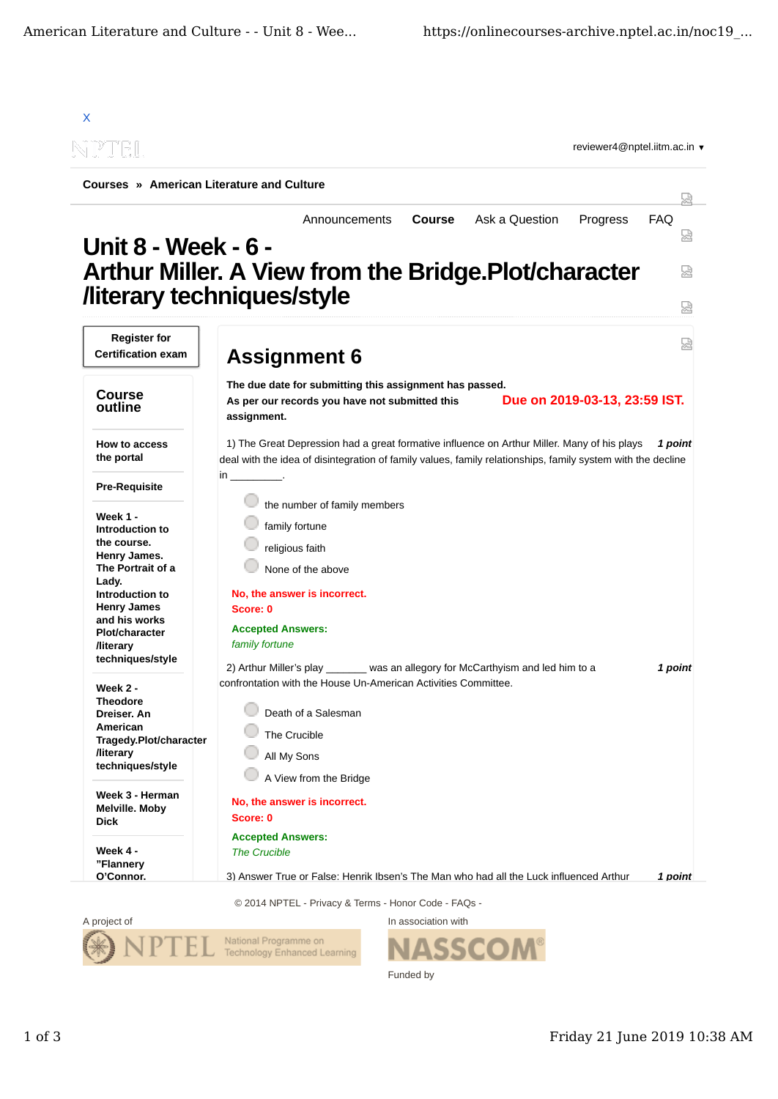

A project of **In association with** National Programme on Technology Enhanced Learning

ASSCO Funded by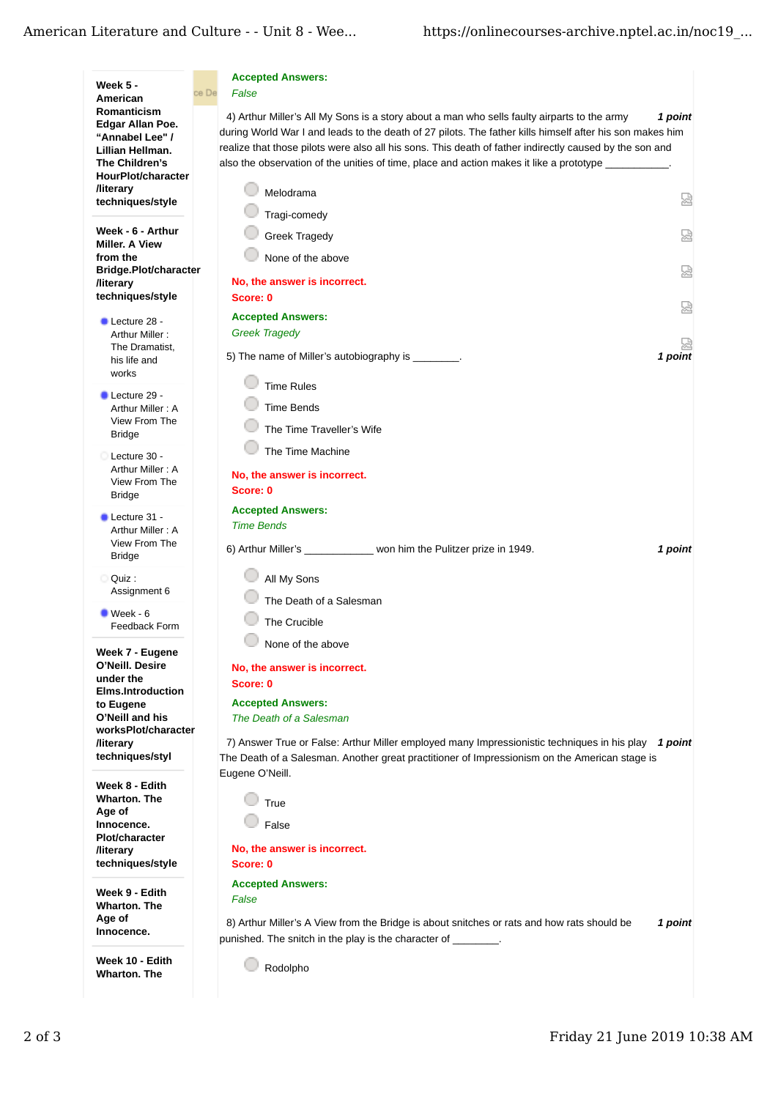